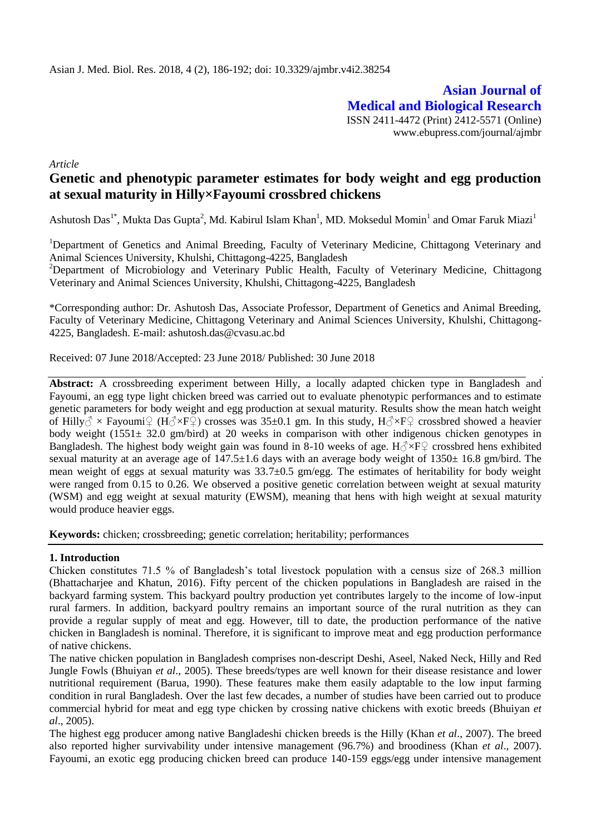**Asian Journal of Medical and Biological Research** ISSN 2411-4472 (Print) 2412-5571 (Online) www.ebupress.com/journal/ajmbr

*Article*

# **Genetic and phenotypic parameter estimates for body weight and egg production at sexual maturity in Hilly×Fayoumi crossbred chickens**

Ashutosh Das<sup>1\*</sup>, Mukta Das Gupta<sup>2</sup>, Md. Kabirul Islam Khan<sup>1</sup>, MD. Moksedul Momin<sup>1</sup> and Omar Faruk Miazi<sup>1</sup>

<sup>1</sup>Department of Genetics and Animal Breeding, Faculty of Veterinary Medicine, Chittagong Veterinary and Animal Sciences University, Khulshi, Chittagong-4225, Bangladesh

<sup>2</sup>Department of Microbiology and Veterinary Public Health, Faculty of Veterinary Medicine, Chittagong Veterinary and Animal Sciences University, Khulshi, Chittagong-4225, Bangladesh

\*Corresponding author: Dr. Ashutosh Das, Associate Professor, Department of Genetics and Animal Breeding, Faculty of Veterinary Medicine, Chittagong Veterinary and Animal Sciences University, Khulshi, Chittagong-4225, Bangladesh. E-mail: ashutosh.das@cvasu.ac.bd

Received: 07 June 2018/Accepted: 23 June 2018/ Published: 30 June 2018

**Abstract:** A crossbreeding experiment between Hilly, a locally adapted chicken type in Bangladesh and Fayoumi, an egg type light chicken breed was carried out to evaluate phenotypic performances and to estimate genetic parameters for body weight and egg production at sexual maturity. Results show the mean hatch weight of Hilly $\circ \times$  Fayoumi $\circ$  (H $\circ \times$ F $\circ$ ) crosses was 35±0.1 gm. In this study, H $\circ \times$ F $\circ$  crossbred showed a heavier body weight (1551 $\pm$  32.0 gm/bird) at 20 weeks in comparison with other indigenous chicken genotypes in Bangladesh. The highest body weight gain was found in 8-10 weeks of age.  $H_0 \rvert^2 \rvert^2$  crossbred hens exhibited sexual maturity at an average age of  $147.5\pm1.6$  days with an average body weight of  $1350\pm16.8$  gm/bird. The mean weight of eggs at sexual maturity was 33.7±0.5 gm/egg. The estimates of heritability for body weight were ranged from 0.15 to 0.26. We observed a positive genetic correlation between weight at sexual maturity (WSM) and egg weight at sexual maturity (EWSM), meaning that hens with high weight at sexual maturity would produce heavier eggs.

**Keywords:** chicken; crossbreeding; genetic correlation; heritability; performances

# **1. Introduction**

Chicken constitutes 71.5 % of Bangladesh's total livestock population with a census size of 268.3 million (Bhattacharjee and Khatun, 2016). Fifty percent of the chicken populations in Bangladesh are raised in the backyard farming system. This backyard poultry production yet contributes largely to the income of low-input rural farmers. In addition, backyard poultry remains an important source of the rural nutrition as they can provide a regular supply of meat and egg. However, till to date, the production performance of the native chicken in Bangladesh is nominal. Therefore, it is significant to improve meat and egg production performance of native chickens.

The native chicken population in Bangladesh comprises non-descript Deshi, Aseel, Naked Neck, Hilly and Red Jungle Fowls (Bhuiyan *et al*., 2005). These breeds/types are well known for their disease resistance and lower nutritional requirement (Barua, 1990). These features make them easily adaptable to the low input farming condition in rural Bangladesh. Over the last few decades, a number of studies have been carried out to produce commercial hybrid for meat and egg type chicken by crossing native chickens with exotic breeds (Bhuiyan *et al*., 2005).

The highest egg producer among native Bangladeshi chicken breeds is the Hilly (Khan *et al*., 2007). The breed also reported higher survivability under intensive management (96.7%) and broodiness (Khan *et al*., 2007). Fayoumi, an exotic egg producing chicken breed can produce 140-159 eggs/egg under intensive management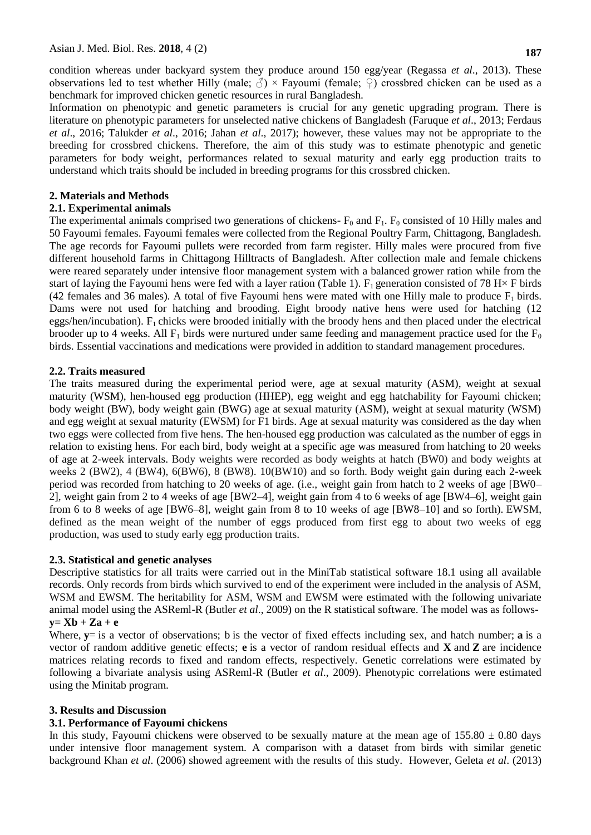condition whereas under backyard system they produce around 150 egg/year (Regassa *et al*., 2013). These observations led to test whether Hilly (male;  $\mathcal{S}$ ) × Fayoumi (female;  $\mathcal{Q}$ ) crossbred chicken can be used as a benchmark for improved chicken genetic resources in rural Bangladesh.

Information on phenotypic and genetic parameters is crucial for any genetic upgrading program. There is literature on phenotypic parameters for unselected native chickens of Bangladesh (Faruque *et al*., 2013; Ferdaus *et al*., 2016; Talukder *et al*., 2016; Jahan *et al*., 2017); however, these values may not be appropriate to the breeding for crossbred chickens. Therefore, the aim of this study was to estimate phenotypic and genetic parameters for body weight, performances related to sexual maturity and early egg production traits to understand which traits should be included in breeding programs for this crossbred chicken.

### **2. Materials and Methods**

### **2.1. Experimental animals**

The experimental animals comprised two generations of chickens-  $F_0$  and  $F_1$ .  $F_0$  consisted of 10 Hilly males and 50 Fayoumi females. Fayoumi females were collected from the Regional Poultry Farm, Chittagong, Bangladesh. The age records for Fayoumi pullets were recorded from farm register. Hilly males were procured from five different household farms in Chittagong Hilltracts of Bangladesh. After collection male and female chickens were reared separately under intensive floor management system with a balanced grower ration while from the start of laying the Fayoumi hens were fed with a layer ration (Table 1).  $F_1$  generation consisted of 78 H $\times$  F birds (42 females and 36 males). A total of five Fayoumi hens were mated with one Hilly male to produce  $F_1$  birds. Dams were not used for hatching and brooding. Eight broody native hens were used for hatching (12 eggs/hen/incubation).  $F_1$  chicks were brooded initially with the broody hens and then placed under the electrical brooder up to 4 weeks. All  $F_1$  birds were nurtured under same feeding and management practice used for the  $F_0$ birds. Essential vaccinations and medications were provided in addition to standard management procedures.

### **2.2. Traits measured**

The traits measured during the experimental period were, age at sexual maturity (ASM), weight at sexual maturity (WSM), hen-housed egg production (HHEP), egg weight and egg hatchability for Fayoumi chicken; body weight (BW), body weight gain (BWG) age at sexual maturity (ASM), weight at sexual maturity (WSM) and egg weight at sexual maturity (EWSM) for F1 birds. Age at sexual maturity was considered as the day when two eggs were collected from five hens. The hen-housed egg production was calculated as the number of eggs in relation to existing hens. For each bird, body weight at a specific age was measured from hatching to 20 weeks of age at 2-week intervals. Body weights were recorded as body weights at hatch (BW0) and body weights at weeks 2 (BW2), 4 (BW4), 6(BW6), 8 (BW8). 10(BW10) and so forth. Body weight gain during each 2-week period was recorded from hatching to 20 weeks of age. (i.e., weight gain from hatch to 2 weeks of age [BW0– 2], weight gain from 2 to 4 weeks of age [BW2–4], weight gain from 4 to 6 weeks of age [BW4–6], weight gain from 6 to 8 weeks of age [BW6–8], weight gain from 8 to 10 weeks of age [BW8–10] and so forth). EWSM, defined as the mean weight of the number of eggs produced from first egg to about two weeks of egg production, was used to study early egg production traits.

#### **2.3. Statistical and genetic analyses**

Descriptive statistics for all traits were carried out in the MiniTab statistical software 18.1 using all available records. Only records from birds which survived to end of the experiment were included in the analysis of ASM, WSM and EWSM. The heritability for ASM, WSM and EWSM were estimated with the following univariate animal model using the ASReml-R (Butler *et al*., 2009) on the R statistical software. The model was as follows**y= Xb + Za + e**

Where,  $y =$  is a vector of observations; b is the vector of fixed effects including sex, and hatch number; **a** is a vector of random additive genetic effects; **e** is a vector of random residual effects and **X** and **Z** are incidence matrices relating records to fixed and random effects, respectively. Genetic correlations were estimated by following a bivariate analysis using ASReml-R (Butler *et al*., 2009). Phenotypic correlations were estimated using the Minitab program.

#### **3. Results and Discussion**

# **3.1. Performance of Fayoumi chickens**

In this study, Fayoumi chickens were observed to be sexually mature at the mean age of  $155.80 \pm 0.80$  days under intensive floor management system. A comparison with a dataset from birds with similar genetic background Khan *et al*. (2006) showed agreement with the results of this study. However, Geleta *et al*. (2013)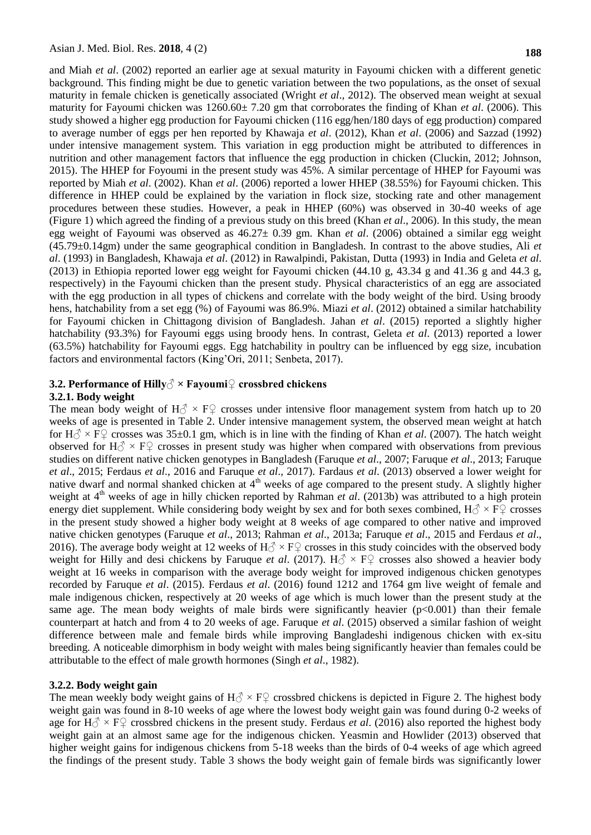and Miah *et al*. (2002) reported an earlier age at sexual maturity in Fayoumi chicken with a different genetic background. This finding might be due to genetic variation between the two populations, as the onset of sexual maturity in female chicken is genetically associated (Wright *et al*., 2012). The observed mean weight at sexual maturity for Fayoumi chicken was 1260.60± 7.20 gm that corroborates the finding of Khan *et al*. (2006). This study showed a higher egg production for Fayoumi chicken (116 egg/hen/180 days of egg production) compared to average number of eggs per hen reported by Khawaja *et al*. (2012), Khan *et al*. (2006) and Sazzad (1992) under intensive management system. This variation in egg production might be attributed to differences in nutrition and other management factors that influence the egg production in chicken (Cluckin, 2012; Johnson, 2015). The HHEP for Foyoumi in the present study was 45%. A similar percentage of HHEP for Fayoumi was reported by Miah *et al*. (2002). Khan *et al*. (2006) reported a lower HHEP (38.55%) for Fayoumi chicken. This difference in HHEP could be explained by the variation in flock size, stocking rate and other management procedures between these studies. However, a peak in HHEP (60%) was observed in 30-40 weeks of age (Figure 1) which agreed the finding of a previous study on this breed (Khan *et al*., 2006). In this study, the mean egg weight of Fayoumi was observed as 46.27± 0.39 gm. Khan *et al*. (2006) obtained a similar egg weight (45.79±0.14gm) under the same geographical condition in Bangladesh. In contrast to the above studies, Ali *et al*. (1993) in Bangladesh, Khawaja *et al*. (2012) in Rawalpindi, Pakistan, Dutta (1993) in India and Geleta *et al*. (2013) in Ethiopia reported lower egg weight for Fayoumi chicken  $(44.10 \text{ g}, 43.34 \text{ g})$  and  $41.36 \text{ g}$  and  $44.3 \text{ g}$ , respectively) in the Fayoumi chicken than the present study. Physical characteristics of an egg are associated with the egg production in all types of chickens and correlate with the body weight of the bird. Using broody hens, hatchability from a set egg (%) of Fayoumi was 86.9%. Miazi *et al*. (2012) obtained a similar hatchability for Fayoumi chicken in Chittagong division of Bangladesh. Jahan *et al*. (2015) reported a slightly higher hatchability (93.3%) for Fayoumi eggs using broody hens. In contrast, Geleta *et al*. (2013) reported a lower (63.5%) hatchability for Fayoumi eggs. Egg hatchability in poultry can be influenced by egg size, incubation factors and environmental factors (King'Ori, 2011; Senbeta, 2017).

# **3.2. Performance of Hilly**√ × Fayoumi♀ crossbred chickens

#### **3.2.1. Body weight**

The mean body weight of  $H_0^{\gamma} \times F_1^{\gamma}$  crosses under intensive floor management system from hatch up to 20 weeks of age is presented in Table 2. Under intensive management system, the observed mean weight at hatch for  $H \rightarrow \infty$  FQ crosses was 35±0.1 gm, which is in line with the finding of Khan *et al.* (2007). The hatch weight observed for H $\circ$  × F $\circ$  crosses in present study was higher when compared with observations from previous studies on different native chicken genotypes in Bangladesh (Faruque *et al*., 2007; Faruque *et al*., 2013; Faruque *et al*., 2015; Ferdaus *et al*., 2016 and Faruque *et al*., 2017). Fardaus *et al*. (2013) observed a lower weight for native dwarf and normal shanked chicken at 4<sup>th</sup> weeks of age compared to the present study. A slightly higher weight at 4<sup>th</sup> weeks of age in hilly chicken reported by Rahman *et al.* (2013b) was attributed to a high protein energy diet supplement. While considering body weight by sex and for both sexes combined,  $H_0 \times F_1$  crosses in the present study showed a higher body weight at 8 weeks of age compared to other native and improved native chicken genotypes (Faruque *et al*., 2013; Rahman *et al*., 2013a; Faruque *et al*., 2015 and Ferdaus *et al*., 2016). The average body weight at 12 weeks of  $H_0^{\gamma} \times F_1^{\gamma}$  crosses in this study coincides with the observed body weight for Hilly and desi chickens by Faruque *et al.* (2017). H $\circ$  × F $\circ$  crosses also showed a heavier body weight at 16 weeks in comparison with the average body weight for improved indigenous chicken genotypes recorded by Faruque *et al*. (2015). Ferdaus *et al*. (2016) found 1212 and 1764 gm live weight of female and male indigenous chicken, respectively at 20 weeks of age which is much lower than the present study at the same age. The mean body weights of male birds were significantly heavier  $(p<0.001)$  than their female counterpart at hatch and from 4 to 20 weeks of age. Faruque *et al*. (2015) observed a similar fashion of weight difference between male and female birds while improving Bangladeshi indigenous chicken with ex-situ breeding. A noticeable dimorphism in body weight with males being significantly heavier than females could be attributable to the effect of male growth hormones (Singh *et al*., 1982).

#### **3.2.2. Body weight gain**

The mean weekly body weight gains of  $H_0^{\gamma} \times F_+^{\gamma}$  crossbred chickens is depicted in Figure 2. The highest body weight gain was found in 8-10 weeks of age where the lowest body weight gain was found during 0-2 weeks of age for  $H_0^{\gamma} \times F_{\gamma}$  crossbred chickens in the present study. Ferdaus *et al.* (2016) also reported the highest body weight gain at an almost same age for the indigenous chicken. Yeasmin and Howlider (2013) observed that higher weight gains for indigenous chickens from 5-18 weeks than the birds of 0-4 weeks of age which agreed the findings of the present study. Table 3 shows the body weight gain of female birds was significantly lower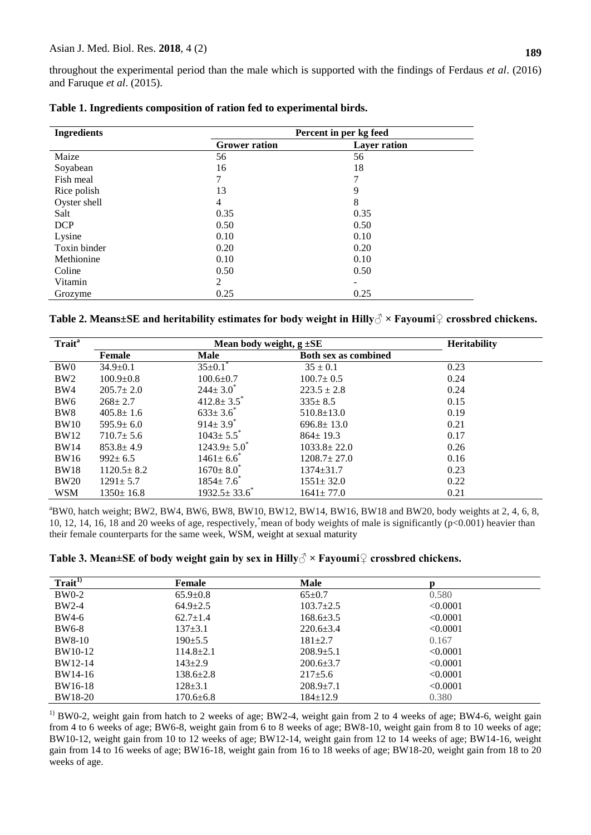throughout the experimental period than the male which is supported with the findings of Ferdaus *et al*. (2016) and Faruque *et al*. (2015).

| <b>Ingredients</b> | Percent in per kg feed |                     |  |
|--------------------|------------------------|---------------------|--|
|                    | <b>Grower ration</b>   | <b>Layer ration</b> |  |
| Maize              | 56                     | 56                  |  |
| Soyabean           | 16                     | 18                  |  |
| Fish meal          | 7                      | 7                   |  |
| Rice polish        | 13                     | 9                   |  |
| Oyster shell       | $\overline{4}$         | 8                   |  |
| Salt               | 0.35                   | 0.35                |  |
| <b>DCP</b>         | 0.50                   | 0.50                |  |
| Lysine             | 0.10                   | 0.10                |  |
| Toxin binder       | 0.20                   | 0.20                |  |
| Methionine         | 0.10                   | 0.10                |  |
| Coline             | 0.50                   | 0.50                |  |
| Vitamin            | 2                      | -                   |  |
| Grozyme            | 0.25                   | 0.25                |  |

|  | Table 1. Ingredients composition of ration fed to experimental birds. |  |  |
|--|-----------------------------------------------------------------------|--|--|
|  |                                                                       |  |  |

**Table 2. Means±SE and heritability estimates for body weight in Hilly♂ × Fayoumi♀ crossbred chickens.**

| Trait <sup>a</sup> | Mean body weight, $g \pm SE$ |                              |                             | <b>Heritability</b> |
|--------------------|------------------------------|------------------------------|-----------------------------|---------------------|
|                    | Female                       | Male                         | <b>Both sex as combined</b> |                     |
| BW <sub>0</sub>    | $34.9 \pm 0.1$               | $35 \pm 0.1$ <sup>*</sup>    | $35 \pm 0.1$                | 0.23                |
| BW <sub>2</sub>    | $100.9 \pm 0.8$              | $100.6 \pm 0.7$              | $100.7 \pm 0.5$             | 0.24                |
| BW4                | $205.7 \pm 2.0$              | $244 \pm 3.0^*$              | $223.5 \pm 2.8$             | 0.24                |
| BW <sub>6</sub>    | $268 \pm 2.7$                | $412.8 \pm 3.5$ <sup>*</sup> | $335 \pm 8.5$               | 0.15                |
| BW <sub>8</sub>    | $405.8 \pm 1.6$              | $633 \pm 3.6^*$              | $510.8 \pm 13.0$            | 0.19                |
| <b>BW10</b>        | $595.9 \pm 6.0$              | $914 \pm 3.9$ <sup>*</sup>   | $696.8 \pm 13.0$            | 0.21                |
| <b>BW12</b>        | $710.7 \pm 5.6$              | $1043 \pm 5.5$ <sup>*</sup>  | $864 \pm 19.3$              | 0.17                |
| <b>BW14</b>        | $853.8 \pm 4.9$              | $1243.9 \pm 5.0^*$           | $1033.8 \pm 22.0$           | 0.26                |
| <b>BW16</b>        | $992 \pm 6.5$                | $1461 \pm 6.6$               | $1208.7 \pm 27.0$           | 0.16                |
| <b>BW18</b>        | $1120.5 \pm 8.2$             | $1670 \pm 8.0^*$             | $1374 \pm 31.7$             | 0.23                |
| <b>BW20</b>        | $1291 \pm 5.7$               | $1854 \pm 7.6$               | $1551 \pm 32.0$             | 0.22                |
| <b>WSM</b>         | $1350 \pm 16.8$              | $1932.5 \pm 33.6^*$          | $1641 \pm 77.0$             | 0.21                |

 $a<sup>a</sup>BWO$ , hatch weight; BW2, BW4, BW6, BW8, BW10, BW12, BW14, BW16, BW18 and BW20, body weights at 2, 4, 6, 8, 10, 12, 14, 16, 18 and 20 weeks of age, respectively, \*mean of body weights of male is significantly  $(p<0.001)$  heavier than their female counterparts for the same week, WSM, weight at sexual maturity

| Table 3. Mean±SE of body weight gain by sex in Hilly $\mathcal{J} \times$ Fayoumi $\mathcal{Q}$ crossbred chickens. |  |  |  |
|---------------------------------------------------------------------------------------------------------------------|--|--|--|
|                                                                                                                     |  |  |  |

| Train <sup>1</sup> | <b>Female</b>   | Male            | n        |
|--------------------|-----------------|-----------------|----------|
| $BW0-2$            | $65.9 \pm 0.8$  | $65 \pm 0.7$    | 0.580    |
| $BW2-4$            | $64.9 \pm 2.5$  | $103.7 \pm 2.5$ | < 0.0001 |
| BW4-6              | $62.7 \pm 1.4$  | $168.6 \pm 3.5$ | < 0.0001 |
| <b>BW6-8</b>       | $137 \pm 3.1$   | $220.6 \pm 3.4$ | < 0.0001 |
| <b>BW8-10</b>      | $190+5.5$       | $181 + 2.7$     | 0.167    |
| BW10-12            | $114.8 + 2.1$   | $208.9 + 5.1$   | < 0.0001 |
| BW12-14            | $143+2.9$       | $200.6 \pm 3.7$ | < 0.0001 |
| BW14-16            | $138.6 \pm 2.8$ | $217\pm5.6$     | < 0.0001 |
| BW16-18            | $128 \pm 3.1$   | $208.9 + 7.1$   | < 0.0001 |
| BW18-20            | $170.6 \pm 6.8$ | $184+12.9$      | 0.380    |

<sup>1)</sup> BW0-2, weight gain from hatch to 2 weeks of age; BW2-4, weight gain from 2 to 4 weeks of age; BW4-6, weight gain from 4 to 6 weeks of age; BW6-8, weight gain from 6 to 8 weeks of age; BW8-10, weight gain from 8 to 10 weeks of age; BW10-12, weight gain from 10 to 12 weeks of age; BW12-14, weight gain from 12 to 14 weeks of age; BW14-16, weight gain from 14 to 16 weeks of age; BW16-18, weight gain from 16 to 18 weeks of age; BW18-20, weight gain from 18 to 20 weeks of age.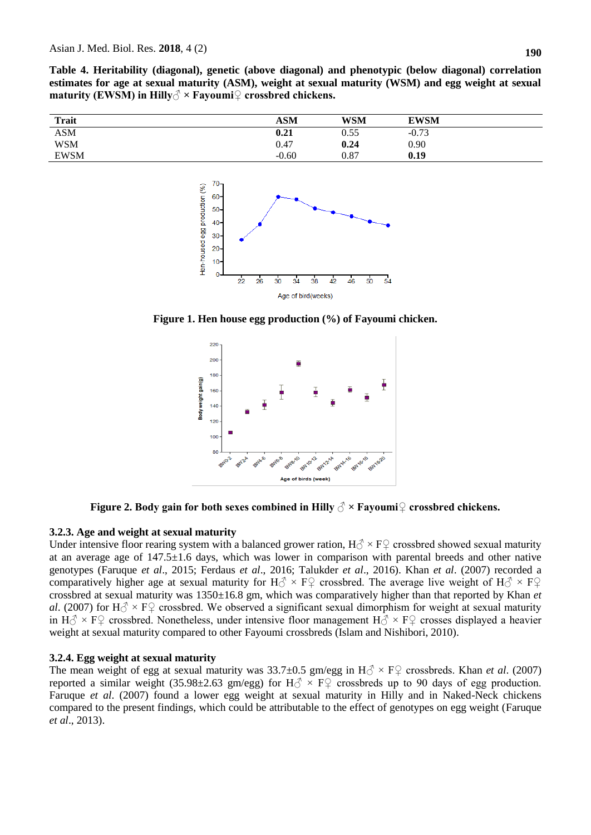**Table 4. Heritability (diagonal), genetic (above diagonal) and phenotypic (below diagonal) correlation estimates for age at sexual maturity (ASM), weight at sexual maturity (WSM) and egg weight at sexual maturity (EWSM) in Hilly♂ × Fayoumi♀ crossbred chickens.** 

| <b>Trait</b> | ASM     | <b>WSM</b> | <b>EWSM</b> |  |
|--------------|---------|------------|-------------|--|
| <b>ASM</b>   | 0.21    | 0.55       | $-0.73$     |  |
| <b>WSM</b>   | 0.47    | 0.24       | 0.90        |  |
| <b>EWSM</b>  | $-0.60$ | 0.87       | 0.19        |  |



**Figure 1. Hen house egg production (%) of Fayoumi chicken.**



**Figure 2. Body gain for both sexes combined in Hilly**  $\delta \times$  **Fayoumi** $\Omega$  crossbred chickens.

# **3.2.3. Age and weight at sexual maturity**

Under intensive floor rearing system with a balanced grower ration,  $H_0^{\gamma} \times F_1^{\gamma}$  crossbred showed sexual maturity at an average age of 147.5±1.6 days, which was lower in comparison with parental breeds and other native genotypes (Faruque *et al*., 2015; Ferdaus *et al*., 2016; Talukder *et al*., 2016). Khan *et al*. (2007) recorded a comparatively higher age at sexual maturity for H $\circ \times$  F $\circ$  crossbred. The average live weight of H $\circ \times$  F $\circ$ crossbred at sexual maturity was 1350±16.8 gm, which was comparatively higher than that reported by Khan *et al*. (2007) for H $\circ$  × F $\circ$  crossbred. We observed a significant sexual dimorphism for weight at sexual maturity in H $\circ$  × F $\circ$  crossbred. Nonetheless, under intensive floor management H $\circ$  × F $\circ$  crosses displayed a heavier weight at sexual maturity compared to other Fayoumi crossbreds (Islam and Nishibori, 2010).

# **3.2.4. Egg weight at sexual maturity**

The mean weight of egg at sexual maturity was  $33.7\pm0.5$  gm/egg in  $H_0^2 \times F_1^2$  crossbreds. Khan *et al.* (2007) reported a similar weight (35.98±2.63 gm/egg) for  $H_0^2 \times F_1^2$  crossbreds up to 90 days of egg production. Faruque *et al*. (2007) found a lower egg weight at sexual maturity in Hilly and in Naked-Neck chickens compared to the present findings, which could be attributable to the effect of genotypes on egg weight (Faruque *et al*., 2013).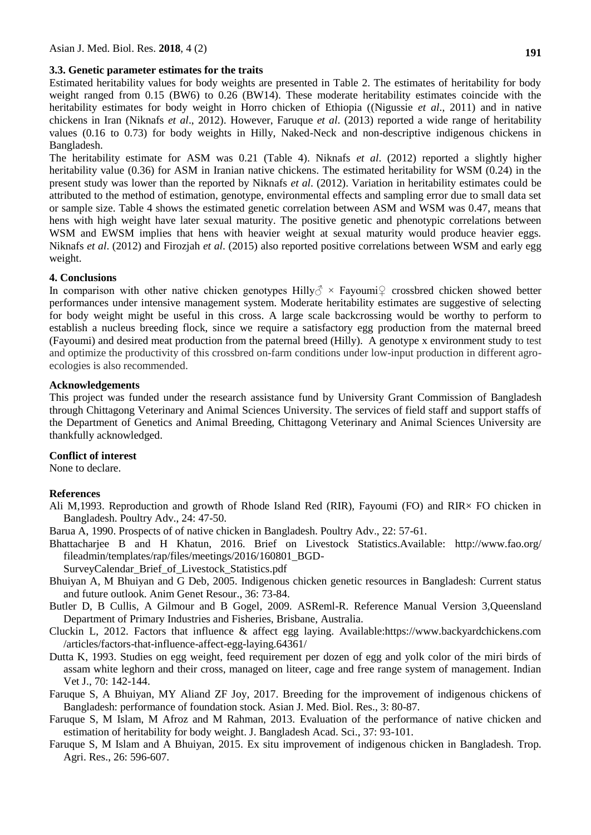### **3.3. Genetic parameter estimates for the traits**

Estimated heritability values for body weights are presented in Table 2. The estimates of heritability for body weight ranged from 0.15 (BW6) to 0.26 (BW14). These moderate heritability estimates coincide with the heritability estimates for body weight in Horro chicken of Ethiopia ((Nigussie *et al*., 2011) and in native chickens in Iran (Niknafs *et al*., 2012). However, Faruque *et al*. (2013) reported a wide range of heritability values (0.16 to 0.73) for body weights in Hilly, Naked-Neck and non-descriptive indigenous chickens in Bangladesh.

The heritability estimate for ASM was 0.21 (Table 4). Niknafs *et al*. (2012) reported a slightly higher heritability value (0.36) for ASM in Iranian native chickens. The estimated heritability for WSM (0.24) in the present study was lower than the reported by Niknafs *et al*. (2012). Variation in heritability estimates could be attributed to the method of estimation, genotype, environmental effects and sampling error due to small data set or sample size. Table 4 shows the estimated genetic correlation between ASM and WSM was 0.47, means that hens with high weight have later sexual maturity. The positive genetic and phenotypic correlations between WSM and EWSM implies that hens with heavier weight at sexual maturity would produce heavier eggs. Niknafs *et al*. (2012) and Firozjah *et al*. (2015) also reported positive correlations between WSM and early egg weight.

# **4. Conclusions**

In comparison with other native chicken genotypes Hilly $\delta$  × Fayoumi<sup>Q</sup> crossbred chicken showed better performances under intensive management system. Moderate heritability estimates are suggestive of selecting for body weight might be useful in this cross. A large scale backcrossing would be worthy to perform to establish a nucleus breeding flock, since we require a satisfactory egg production from the maternal breed (Fayoumi) and desired meat production from the paternal breed (Hilly). A genotype x environment study to test and optimize the productivity of this crossbred on-farm conditions under low-input production in different agroecologies is also recommended.

# **Acknowledgements**

This project was funded under the research assistance fund by University Grant Commission of Bangladesh through Chittagong Veterinary and Animal Sciences University. The services of field staff and support staffs of the Department of Genetics and Animal Breeding, Chittagong Veterinary and Animal Sciences University are thankfully acknowledged.

# **Conflict of interest**

None to declare.

# **References**

- Ali M,1993. Reproduction and growth of Rhode Island Red (RIR), Fayoumi (FO) and RIR× FO chicken in Bangladesh. Poultry Adv., 24: 47-50.
- Barua A, 1990. Prospects of of native chicken in Bangladesh. Poultry Adv., 22: 57-61.
- Bhattacharjee B and H Khatun, 2016. Brief on Livestock Statistics.Available: http://www.fao.org/ fileadmin/templates/rap/files/meetings/2016/160801\_BGD-

SurveyCalendar\_Brief\_of\_Livestock\_Statistics.pdf

- Bhuiyan A, M Bhuiyan and G Deb, 2005. Indigenous chicken genetic resources in Bangladesh: Current status and future outlook. Anim Genet Resour., 36: 73-84.
- Butler D, B Cullis, A Gilmour and B Gogel, 2009. ASReml-R. Reference Manual Version 3,Queensland Department of Primary Industries and Fisheries, Brisbane, Australia.
- Cluckin L, 2012. Factors that influence & affect egg laying. Available:https://www.backyardchickens.com /articles/factors-that-influence-affect-egg-laying.64361/
- Dutta K, 1993. Studies on egg weight, feed requirement per dozen of egg and yolk color of the miri birds of assam white leghorn and their cross, managed on liteer, cage and free range system of management. Indian Vet J., 70: 142-144.
- Faruque S, A Bhuiyan, MY Aliand ZF Joy, 2017. Breeding for the improvement of indigenous chickens of Bangladesh: performance of foundation stock. Asian J. Med. Biol. Res., 3: 80-87.
- Faruque S, M Islam, M Afroz and M Rahman, 2013. Evaluation of the performance of native chicken and estimation of heritability for body weight. J. Bangladesh Acad. Sci., 37: 93-101.
- Faruque S, M Islam and A Bhuiyan, 2015. Ex situ improvement of indigenous chicken in Bangladesh. Trop. Agri. Res., 26: 596-607.